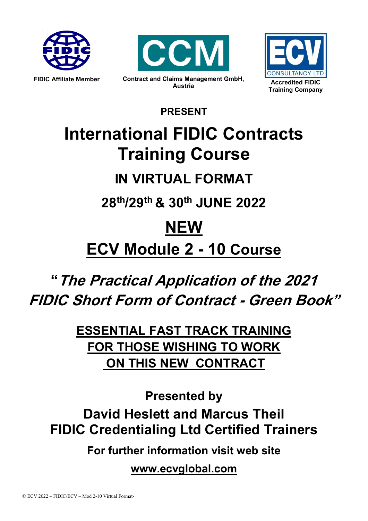





**PRESENT**

# **International FIDIC Contracts Training Course**

# **IN VIRTUAL FORMAT**

**28th/29th & 30th JUNE 2022**

# **NEW**

**ECV Module 2 - 10 Course**

# **"The Practical Application of the 2021 FIDIC Short Form of Contract - Green Book"**

**ESSENTIAL FAST TRACK TRAINING FOR THOSE WISHING TO WORK ON THIS NEW CONTRACT**

**Presented by David Heslett and Marcus Theil FIDIC Credentialing Ltd Certified Trainers**

**For further information visit web site**

**www.ecvglobal.com**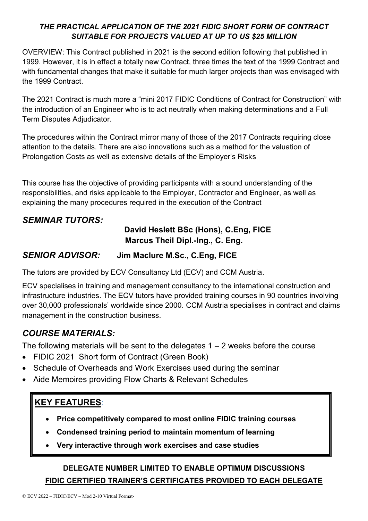#### *THE PRACTICAL APPLICATION OF THE 2021 FIDIC SHORT FORM OF CONTRACT SUITABLE FOR PROJECTS VALUED AT UP TO US \$25 MILLION*

OVERVIEW: This Contract published in 2021 is the second edition following that published in 1999. However, it is in effect a totally new Contract, three times the text of the 1999 Contract and with fundamental changes that make it suitable for much larger projects than was envisaged with the 1999 Contract.

The 2021 Contract is much more a "mini 2017 FIDIC Conditions of Contract for Construction" with the introduction of an Engineer who is to act neutrally when making determinations and a Full Term Disputes Adjudicator.

The procedures within the Contract mirror many of those of the 2017 Contracts requiring close attention to the details. There are also innovations such as a method for the valuation of Prolongation Costs as well as extensive details of the Employer's Risks

This course has the objective of providing participants with a sound understanding of the responsibilities, and risks applicable to the Employer, Contractor and Engineer, as well as explaining the many procedures required in the execution of the Contract

### **SEMINAR TUTORS:**

#### **David Heslett BSc (Hons), C.Eng, FICE Marcus Theil Dipl.-Ing., C. Eng.**

#### *SENIOR ADVISOR:* **Jim Maclure M.Sc., C.Eng, FICE**

The tutors are provided by ECV Consultancy Ltd (ECV) and CCM Austria.

ECV specialises in training and management consultancy to the international construction and infrastructure industries. The ECV tutors have provided training courses in 90 countries involving over 30,000 professionals' worldwide since 2000. CCM Austria specialises in contract and claims management in the construction business.

## *COURSE MATERIALS:*

The following materials will be sent to the delegates  $1 - 2$  weeks before the course

- FIDIC 2021 Short form of Contract (Green Book)
- Schedule of Overheads and Work Exercises used during the seminar
- Aide Memoires providing Flow Charts & Relevant Schedules

## **KEY FEATURES**:

- **Price competitively compared to most online FIDIC training courses**
- **Condensed training period to maintain momentum of learning**
- **Very interactive through work exercises and case studies**

### **DELEGATE NUMBER LIMITED TO ENABLE OPTIMUM DISCUSSIONS FIDIC CERTIFIED TRAINER'S CERTIFICATES PROVIDED TO EACH DELEGATE**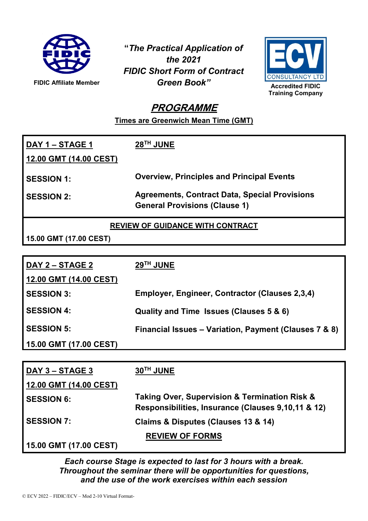

**"***The Practical Application of the 2021 FIDIC Short Form of Contract Green Book"*



# **PROGRAMME**

**Times are Greenwich Mean Time (GMT)**

| DAY 1 – STAGE 1<br>12.00 GMT (14.00 CEST) | $28TH$ JUNE                                                                                  |
|-------------------------------------------|----------------------------------------------------------------------------------------------|
| <b>SESSION 1:</b>                         | <b>Overview, Principles and Principal Events</b>                                             |
| <b>SESSION 2:</b>                         | <b>Agreements, Contract Data, Special Provisions</b><br><b>General Provisions (Clause 1)</b> |

**REVIEW OF GUIDANCE WITH CONTRACT**

**15.00 GMT (17.00 CEST)**

| DAY 2 – STAGE 2        | 29 <sup>TH</sup> JUNE                                 |
|------------------------|-------------------------------------------------------|
| 12.00 GMT (14.00 CEST) |                                                       |
| <b>SESSION 3:</b>      | Employer, Engineer, Contractor (Clauses 2,3,4)        |
| <b>SESSION 4:</b>      | Quality and Time Issues (Clauses 5 & 6)               |
| <b>SESSION 5:</b>      | Financial Issues – Variation, Payment (Clauses 7 & 8) |
| 15.00 GMT (17.00 CEST) |                                                       |

| DAY 3 – STAGE 3        | 30TH JUNE                                                                                                          |
|------------------------|--------------------------------------------------------------------------------------------------------------------|
| 12.00 GMT (14.00 CEST) |                                                                                                                    |
| <b>SESSION 6:</b>      | <b>Taking Over, Supervision &amp; Termination Risk &amp;</b><br>Responsibilities, Insurance (Clauses 9,10,11 & 12) |
| <b>SESSION 7:</b>      | Claims & Disputes (Clauses 13 & 14)                                                                                |
|                        | <b>REVIEW OF FORMS</b>                                                                                             |
| 15.00 GMT (17.00 CEST) |                                                                                                                    |

*Each course Stage is expected to last for 3 hours with a break. Throughout the seminar there will be opportunities for questions, and the use of the work exercises within each session*